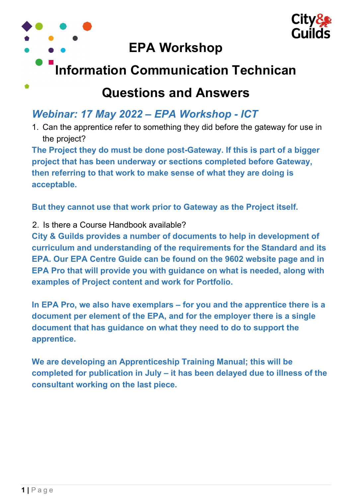

## Questions and Answers

## Webinar: 17 May 2022 – EPA Workshop - ICT

1. Can the apprentice refer to something they did before the gateway for use in the project?

The Project they do must be done post-Gateway. If this is part of a bigger project that has been underway or sections completed before Gateway, then referring to that work to make sense of what they are doing is acceptable.

But they cannot use that work prior to Gateway as the Project itself.

2. Is there a Course Handbook available?

City & Guilds provides a number of documents to help in development of curriculum and understanding of the requirements for the Standard and its EPA. Our EPA Centre Guide can be found on the 9602 website page and in EPA Pro that will provide you with guidance on what is needed, along with examples of Project content and work for Portfolio.

In EPA Pro, we also have exemplars – for you and the apprentice there is a document per element of the EPA, and for the employer there is a single document that has guidance on what they need to do to support the apprentice.

We are developing an Apprenticeship Training Manual; this will be completed for publication in July – it has been delayed due to illness of the consultant working on the last piece.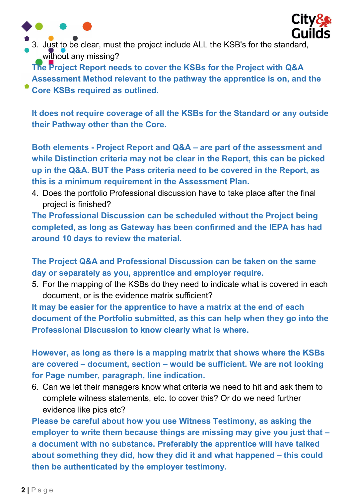



3. Just to be clear, must the project include ALL the KSB's for the standard, without any missing?

The Project Report needs to cover the KSBs for the Project with Q&A Assessment Method relevant to the pathway the apprentice is on, and the Core KSBs required as outlined.

It does not require coverage of all the KSBs for the Standard or any outside their Pathway other than the Core.

Both elements - Project Report and Q&A – are part of the assessment and while Distinction criteria may not be clear in the Report, this can be picked up in the Q&A. BUT the Pass criteria need to be covered in the Report, as this is a minimum requirement in the Assessment Plan.

4. Does the portfolio Professional discussion have to take place after the final project is finished?

The Professional Discussion can be scheduled without the Project being completed, as long as Gateway has been confirmed and the IEPA has had around 10 days to review the material.

The Project Q&A and Professional Discussion can be taken on the same day or separately as you, apprentice and employer require.

5. For the mapping of the KSBs do they need to indicate what is covered in each document, or is the evidence matrix sufficient?

It may be easier for the apprentice to have a matrix at the end of each document of the Portfolio submitted, as this can help when they go into the Professional Discussion to know clearly what is where.

However, as long as there is a mapping matrix that shows where the KSBs are covered – document, section – would be sufficient. We are not looking for Page number, paragraph, line indication.

6. Can we let their managers know what criteria we need to hit and ask them to complete witness statements, etc. to cover this? Or do we need further evidence like pics etc?

Please be careful about how you use Witness Testimony, as asking the employer to write them because things are missing may give you just that – a document with no substance. Preferably the apprentice will have talked about something they did, how they did it and what happened – this could then be authenticated by the employer testimony.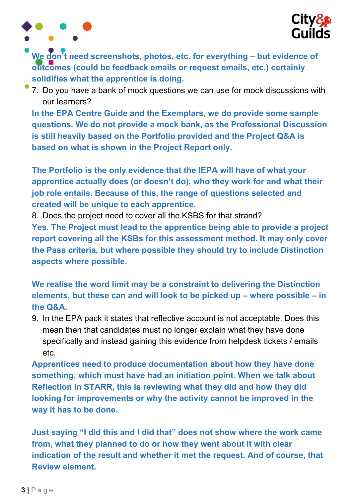

We don't need screenshots, photos, etc. for everything - but evidence of outcomes (could be feedback emails or request emails, etc.) certainly solidifies what the apprentice is doing.

7. Do you have a bank of mock questions we can use for mock discussions with our learners?

In the EPA Centre Guide and the Exemplars, we do provide some sample questions. We do not provide a mock bank, as the Professional Discussion is still heavily based on the Portfolio provided and the Project Q&A is based on what is shown in the Project Report only.

The Portfolio is the only evidence that the IEPA will have of what your apprentice actually does (or doesn't do), who they work for and what their job role entails. Because of this, the range of questions selected and created will be unique to each apprentice.

8. Does the project need to cover all the KSBS for that strand?

Yes. The Project must lead to the apprentice being able to provide a project report covering all the KSBs for this assessment method. It may only cover the Pass criteria, but where possible they should try to include Distinction aspects where possible.

We realise the word limit may be a constraint to delivering the Distinction elements, but these can and will look to be picked up – where possible – in the Q&A.

9. In the EPA pack it states that reflective account is not acceptable. Does this mean then that candidates must no longer explain what they have done specifically and instead gaining this evidence from helpdesk tickets / emails etc.

Apprentices need to produce documentation about how they have done something, which must have had an initiation point. When we talk about Reflection in STARR, this is reviewing what they did and how they did looking for improvements or why the activity cannot be improved in the way it has to be done.

Just saying "I did this and I did that" does not show where the work came from, what they planned to do or how they went about it with clear indication of the result and whether it met the request. And of course, that Review element.